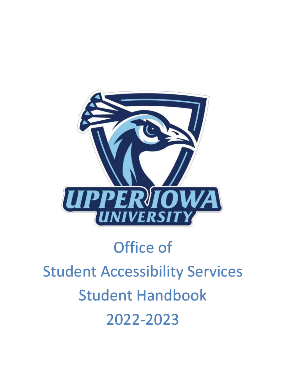

# Office of Student Accessibility Services Student Handbook 2022-2023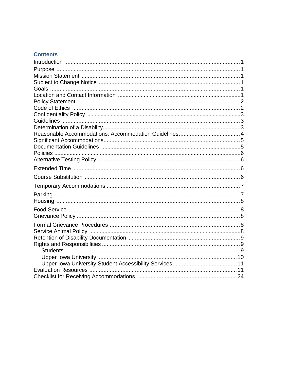## **Contents**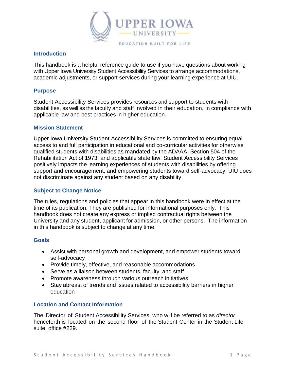

#### **Introduction**

This handbook is a helpful reference guide to use if you have questions about working with Upper Iowa University Student Accessibility Services to arrange accommodations, academic adjustments, or support services during your learning experience at UIU.

#### **Purpose**

Student Accessibility Services provides resources and support to students with disabilities, as well as the faculty and staff involved in their education, in compliance with applicable law and best practices in higher education.

#### **Mission Statement**

Upper Iowa University Student Accessibility Services is committed to ensuring equal access to and full participation in educational and co-curricular activities for otherwise qualified students with disabilities as mandated by the ADAAA, Section 504 of the Rehabilitation Act of 1973, and applicable state law. Student Accessibility Services positively impacts the learning experiences of students with disabilities by offering support and encouragement, and empowering students toward self-advocacy. UIU does not discriminate against any student based on any disability.

#### **Subject to Change Notice**

The rules, regulations and policies that appear in this handbook were in effect at the time of its publication. They are published for informational purposes only. This handbook does not create any express or implied contractual rights between the University and any student, applicant for admission, or other persons. The information in this handbook is subject to change at any time.

#### **Goals**

- Assist with personal growth and development, and empower students toward self-advocacy
- Provide timely, effective, and reasonable accommodations
- Serve as a liaison between students, faculty, and staff
- Promote awareness through various outreach initiatives
- Stay abreast of trends and issues related to accessibility barriers in higher education

#### **Location and Contact Information**

The Director of Student Accessibility Services, who will be referred to as *director* henceforth is located on the second floor of the Student Center in the Student Life suite, office #229.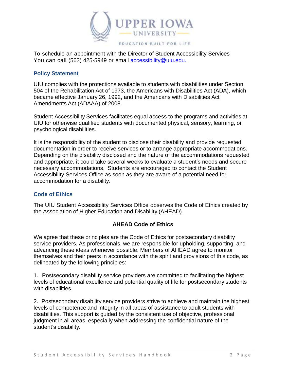

To schedule an appointment with the Director of Student Accessibility Services You can call (563) 425-5949 or em[ail](mailto:%20disabilityservices@uiu.edu) [accessibility@uiu.edu.](mailto:accessibility@uiu.edu.)

#### **Policy Statement**

UIU complies with the protections available to students with disabilities under Section 504 of the Rehabilitation Act of 1973, the Americans with Disabilities Act (ADA), which became effective January 26, 1992, and the Americans with Disabilities Act Amendments Act (ADAAA) of 2008.

Student Accessibility Services facilitates equal access to the programs and activities at UIU for otherwise qualified students with documented physical, sensory, learning, or psychological disabilities.

It is the responsibility of the student to disclose their disability and provide requested documentation in order to receive services or to arrange appropriate accommodations. Depending on the disability disclosed and the nature of the accommodations requested and appropriate, it could take several weeks to evaluate a student's needs and secure necessary accommodations. Students are encouraged to contact the Student Accessibility Services Office as soon as they are aware of a potential need for accommodation for a disability.

#### **Code of Ethics**

The UIU Student Accessibility Services Office observes the Code of Ethics created by the Association of Higher Education and Disability (AHEAD).

## **AHEAD Code of Ethics**

We agree that these principles are the Code of Ethics for postsecondary disability service providers. As professionals, we are responsible for upholding, supporting, and advancing these ideas whenever possible. Members of AHEAD agree to monitor themselves and their peers in accordance with the spirit and provisions of this code, as delineated by the following principles:

1. Postsecondary disability service providers are committed to facilitating the highest levels of educational excellence and potential quality of life for postsecondary students with disabilities.

2. Postsecondary disability service providers strive to achieve and maintain the highest levels of competence and integrity in all areas of assistance to adult students with disabilities. This support is guided by the consistent use of objective, professional judgment in all areas, especially when addressing the confidential nature of the student's disability.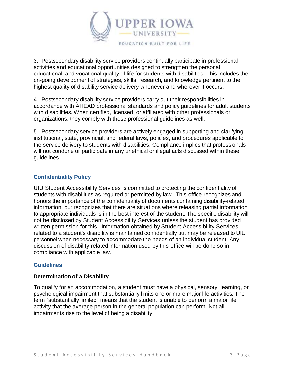

3. Postsecondary disability service providers continually participate in professional activities and educational opportunities designed to strengthen the personal, educational, and vocational quality of life for students with disabilities. This includes the on-going development of strategies, skills, research, and knowledge pertinent to the highest quality of disability service delivery whenever and wherever it occurs.

4. Postsecondary disability service providers carry out their responsibilities in accordance with AHEAD professional standards and policy guidelines for adult students with disabilities. When certified, licensed, or affiliated with other professionals or organizations, they comply with those professional guidelines as well.

5. Postsecondary service providers are actively engaged in supporting and clarifying institutional, state, provincial, and federal laws, policies, and procedures applicable to the service delivery to students with disabilities. Compliance implies that professionals will not condone or participate in any unethical or illegal acts discussed within these guidelines.

## **Confidentiality Policy**

UIU Student Accessibility Services is committed to protecting the confidentiality of students with disabilities as required or permitted by law. This office recognizes and honors the importance of the confidentiality of documents containing disability-related information, but recognizes that there are situations where releasing partial information to appropriate individuals is in the best interest of the student. The specific disability will not be disclosed by Student Accessibility Services unless the student has provided written permission for this. Information obtained by Student Accessibility Services related to a student's disability is maintained confidentially but may be released to UIU personnel when necessary to accommodate the needs of an individual student. Any discussion of disability-related information used by this office will be done so in compliance with applicable law.

#### **Guidelines**

#### **Determination of a Disability**

To qualify for an accommodation, a student must have a physical, sensory, learning, or psychological impairment that substantially limits one or more major life activities. The term "substantially limited" means that the student is unable to perform a major life activity that the average person in the general population can perform. Not all impairments rise to the level of being a disability.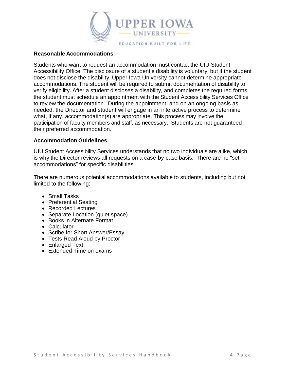

#### **Reasonable Accommodations**

Students who want to request an accommodation must contact the UIU Student Accessibility Office. The disclosure of a student's disability is voluntary, but if the student does not disclose the disability, Upper Iowa University cannot determine appropriate accommodations. The student will be required to submit documentation of disability to verify eligibility. After a student discloses a disability, and completes the required forms, the student must schedule an appointment with the Student Accessibility Services Office to review the documentation. During the appointment, and on an ongoing basis as needed, the Director and student will engage in an interactive process to determine what, if any, accommodation(s) are appropriate. This process may involve the participation of faculty members and staff, as necessary. Students are not guaranteed their preferred accommodation.

#### **Accommodation Guidelines**

UIU Student Accessibility Services understands that no two individuals are alike, which is why the Director reviews all requests on a case-by-case basis. There are no "set accommodations" for specific disabilities.

There are numerous potential accommodations available to students, including but not limited to the following:

- Small Tasks
- Preferential Seating
- Recorded Lectures
- Separate Location (quiet space)
- Books in Alternate Format
- Calculator
- Scribe for Short Answer/Essay
- Tests Read Aloud by Proctor
- Enlarged Text
- Extended Time on exams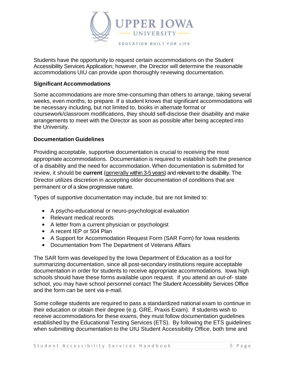

Students have the opportunity to request certain accommodations on the Student Accessibility Services Application; however, the Director will determine the reasonable accommodations UIU can provide upon thoroughly reviewing documentation.

#### **Significant Accommodations**

Some accommodations are more time-consuming than others to arrange, taking several weeks, even months, to prepare. If a student knows that significant accommodations will be necessary including, but not limited to, books in alternate format or coursework/classroom modifications, they should self-disclose their disability and make arrangements to meet with the Director as soon as possible after being accepted into the University.

#### **Documentation Guidelines**

Providing acceptable, supportive documentation is crucial to receiving the most appropriate accommodations. Documentation is required to establish both the presence of a disability and the need for accommodation. When documentation is submitted for review, it should be **current** (generally within 3-5 years) and relevant to the disability. The Director utilizes discretion in accepting older documentation of conditions that are permanent or of a slow progressive nature.

Types of supportive documentation may include, but are not limited to:

- A psycho-educational or neuro-psychological evaluation
- Relevant medical records
- A letter from a current physician or psychologist
- A recent IEP or 504 Plan
- A Support for Accommodation Request Form (SAR Form) for Iowa residents
- Documentation from The Department of Veterans Affairs

The SAR form was developed by the Iowa Department of Education as a tool for summarizing documentation, since all post-secondary institutions require acceptable documentation in order for students to receive appropriate accommodations. Iowa high schools should have these forms available upon request. If you attend an out-of- state school, you may have school personnel contact The Student Accessibility Services Office and the form can be sent via e-mail.

Some college students are required to pass a standardized national exam to continue in their education or obtain their degree (e.g. GRE, Praxis Exam). If students wish to receive accommodations for these exams, they must follow documentation guidelines established by the Educational Testing Services (ETS). By following the ETS guidelines when submitting documentation to the UIU Student Accessibility Office, both time and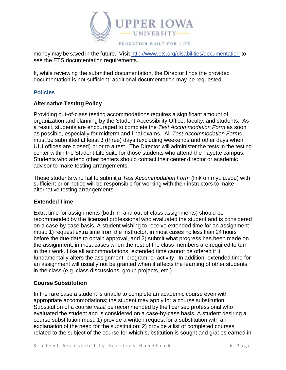

money may be saved in the future. Visit<http://www.ets.org/disabilities/documentation> to see the ETS documentation requirements.

If, while reviewing the submitted documentation, the Director finds the provided documentation is not sufficient, additional documentation may be requested.

## **Policies**

## **Alternative Testing Policy**

Providing out-of-class testing accommodations requires a significant amount of organization and planning by the Student Accessibility Office, faculty, and students. As a result, students are encouraged to complete the *Test Accommodation Form* as soon as possible, especially for midterm and final exams. All *Test Accommodation Forms* must be submitted at least 3 (three) days (excluding weekends and other days when UIU offices are closed) prior to a test. The Director will administer the tests in the testing center within the Student Life suite for those students who attend the Fayette campus. Students who attend other centers should contact their center director or academic advisor to make testing arrangements.

Those students who fail to submit a *Test Accommodation Form* (link on myuiu.edu) with sufficient prior notice will be responsible for working with their instructors to make alternative testing arrangements.

## **Extended Time**

Extra time for assignments (both in- and out-of-class assignments) should be recommended by the licensed professional who evaluated the student and is considered on a case-by-case basis. A student wishing to receive extended time for an assignment must: 1) request extra time from the instructor, in most cases no less than 24 hours before the due date to obtain approval, and 2) submit what progress has been made on the assignment, in most cases when the rest of the class members are required to turn in their work. Like all accommodations, extended time cannot be offered if it fundamentally alters the assignment, program, or activity. In addition, extended time for an assignment will usually not be granted when it affects the learning of other students in the class (e.g. class discussions, group projects, etc.).

## **Course Substitution**

In the rare case a student is unable to complete an academic course even with appropriate accommodations; the student may apply for a course substitution. Substitution of a course *must* be recommended by the licensed professional who evaluated the student and is considered on a case-by-case basis. A student desiring a course substitution must: 1) provide a written request for a substitution with an explanation of the need for the substitution; 2) provide a list of completed courses related to the subject of the course for which substitution is sought and grades earned in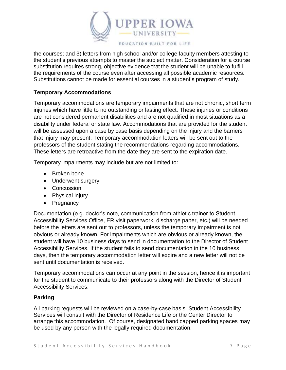

the courses; and 3) letters from high school and/or college faculty members attesting to the student's previous attempts to master the subject matter. Consideration for a course substitution requires strong, objective evidence that the student will be unable to fulfill the requirements of the course even after accessing all possible academic resources. Substitutions cannot be made for essential courses in a student's program of study.

## **Temporary Accommodations**

Temporary accommodations are temporary impairments that are not chronic, short term injuries which have little to no outstanding or lasting effect. These injuries or conditions are not considered permanent disabilities and are not qualified in most situations as a disability under federal or state law. Accommodations that are provided for the student will be assessed upon a case by case basis depending on the injury and the barriers that injury may present. Temporary accommodation letters will be sent out to the professors of the student stating the recommendations regarding accommodations. These letters are retroactive from the date they are sent to the expiration date.

Temporary impairments may include but are not limited to:

- Broken bone
- Underwent surgery
- Concussion
- Physical injury
- Pregnancy

Documentation (e.g. doctor's note, communication from athletic trainer to Student Accessibility Services Office, ER visit paperwork, discharge paper, etc.) will be needed before the letters are sent out to professors, unless the temporary impairment is not obvious or already known. For impairments which are obvious or already known, the student will have 10 business days to send in documentation to the Director of Student Accessibility Services. If the student fails to send documentation in the 10 business days, then the temporary accommodation letter will expire and a new letter will not be sent until documentation is received.

Temporary accommodations can occur at any point in the session, hence it is important for the student to communicate to their professors along with the Director of Student Accessibility Services.

#### **Parking**

All parking requests will be reviewed on a case-by-case basis. Student Accessibility Services will consult with the Director of Residence Life or the Center Director to arrange this accommodation. Of course, designated handicapped parking spaces may be used by any person with the legally required documentation.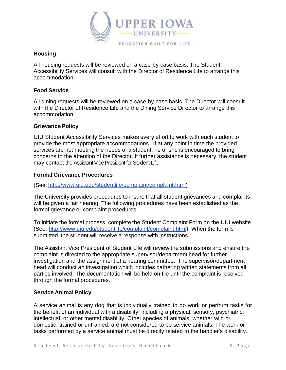

## **Housing**

All housing requests will be reviewed on a case-by-case basis. The Student Accessibility Services will consult with the Director of Residence Life to arrange this accommodation.

#### **Food Service**

All dining requests will be reviewed on a case-by-case basis. The Director will consult with the Director of Residence Life and the Dining Service Director to arrange this accommodation.

#### **Grievance Policy**

UIU Student Accessibility Services makes every effort to work with each student to provide the most appropriate accommodations. If at any point in time the provided services are not meeting the needs of a student, he or she is encouraged to bring concerns to the attention of the Director. If further assistance is necessary, the student may contact the Assistant Vice President for Student Life.

#### **Formal Grievance Procedures**

(See: [http://www.uiu.edu/studentlife/complaint/complaint.html\)](http://www.uiu.edu/studentlife/complaint/complaint.html)

The University provides procedures to insure that all student grievances and complaints will be given a fair hearing. The following procedures have been established as the formal grievance or complaint procedures.

To initiate the formal process, complete the Student Complaint Form on the UIU website (See: [http://www.uiu.edu/studentlife/complaint/complaint.html\)](http://www.uiu.edu/studentlife/complaint/complaint.html). When the form is submitted, the student will receive a response with instructions.

The Assistant Vice President of Student Life will review the submissions and ensure the complaint is directed to the appropriate supervisor/department head for further investigation and the assignment of a hearing committee. The supervisor/department head will conduct an investigation which includes gathering written statements from all parties involved. The documentation will be held on file until the complaint is resolved through the formal procedures.

## **Service Animal Policy**

A service animal is any dog that is individually trained to do work or perform tasks for the benefit of an individual with a disability, including a physical, sensory, psychiatric, intellectual, or other mental disability. Other species of animals, whether wild or domestic, trained or untrained, are not considered to be service animals. The work or tasks performed by a service animal must be directly related to the handler's disability.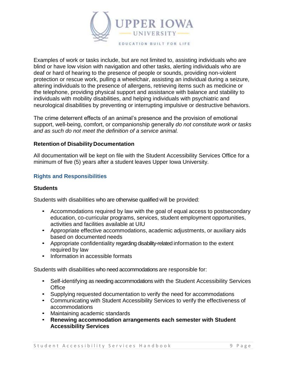

Examples of work or tasks include, but are not limited to, assisting individuals who are blind or have low vision with navigation and other tasks, alerting individuals who are deaf or hard of hearing to the presence of people or sounds, providing non-violent protection or rescue work, pulling a wheelchair, assisting an individual during a seizure, altering individuals to the presence of allergens, retrieving items such as medicine or the telephone, providing physical support and assistance with balance and stability to individuals with mobility disabilities, and helping individuals with psychiatric and neurological disabilities by preventing or interrupting impulsive or destructive behaviors.

The crime deterrent effects of an animal's presence and the provision of emotional support, well-being, comfort, or companionship generally *do not constitute work or tasks and as such do not meet the definition of a service animal.* 

#### **Retention of Disability Documentation**

All documentation will be kept on file with the Student Accessibility Services Office for a minimum of five (5) years after a student leaves Upper Iowa University.

#### **Rights and Responsibilities**

#### **Students**

Students with disabilities who are otherwise qualified will be provided:

- Accommodations required by law with the goal of equal access to postsecondary education, co-curricular programs, services, student employment opportunities, activities and facilities available at UIU
- Appropriate effective accommodations, academic adjustments, or auxiliary aids based on documented needs
- Appropriate confidentiality regarding disability-related information to the extent required by law
- Information in accessible formats

Students with disabilities who need accommodations are responsible for:

- Self-identifying as needing accommodations with the Student Accessibility Services **Office**
- Supplying requested documentation to verify the need for accommodations
- Communicating with Student Accessibility Services to verify the effectiveness of accommodations
- Maintaining academic standards
- **Renewing accommodation arrangements each semester with Student Accessibility Services**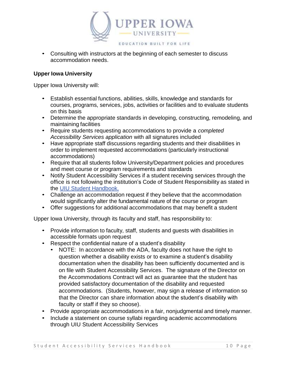

• Consulting with instructors at the beginning of each semester to discuss accommodation needs.

#### **Upper Iowa University**

Upper Iowa University will:

- Establish essential functions, abilities, skills, knowledge and standards for courses, programs, services, jobs, activities or facilities and to evaluate students on this basis
- Determine the appropriate standards in developing, constructing, remodeling, and maintaining facilities
- Require students requesting accommodations to provide a *completed Accessibility Services application* with all signatures included
- Have appropriate staff discussions regarding students and their disabilities in order to implement requested accommodations (particularly instructional accommodations)
- Require that all students follow University/Department policies and procedures and meet course or program requirements and standards
- Notify Student Accessibility Services if a student receiving services through the office is not following the institution's Code of Student Responsibility as stated in the [UIU Student](https://uiu.edu/about/policies-reports/student-handbooks/) Handbook.
- Challenge an accommodation request if they believe that the accommodation would significantly alter the fundamental nature of the course or program
- Offer suggestions for additional accommodations that may benefit a student

Upper Iowa University, through its faculty and staff, has responsibility to:

- Provide information to faculty, staff, students and guests with disabilities in accessible formats upon request
- Respect the confidential nature of a student's disability
	- NOTE: In accordance with the ADA, faculty does not have the right to question whether a disability exists or to examine a student's disability documentation when the disability has been sufficiently documented and is on file with Student Accessibility Services. The signature of the Director on the Accommodations Contract will act as guarantee that the student has provided satisfactory documentation of the disability and requested accommodations. (Students, however, may sign a release of information so that the Director can share information about the student's disability with faculty or staff if they so choose).
- Provide appropriate accommodations in a fair, nonjudgmental and timely manner.
- Include a statement on course syllabi regarding academic accommodations through UIU Student Accessibility Services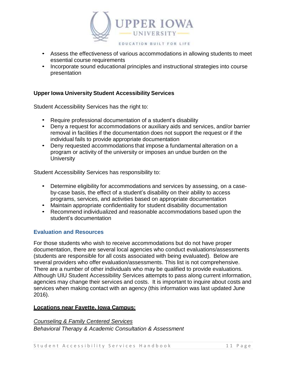

- Assess the effectiveness of various accommodations in allowing students to meet essential course requirements
- Incorporate sound educational principles and instructional strategies into course presentation

## **Upper Iowa University Student Accessibility Services**

Student Accessibility Services has the right to:

- Require professional documentation of a student's disability
- Deny a request for accommodations or auxiliary aids and services, and/or barrier removal in facilities if the documentation does not support the request or if the individual fails to provide appropriate documentation
- Deny requested accommodations that impose a fundamental alteration on a program or activity of the university or imposes an undue burden on the **University**

Student Accessibility Services has responsibility to:

- Determine eligibility for accommodations and services by assessing, on a caseby-case basis, the effect of a student's disability on their ability to access programs, services, and activities based on appropriate documentation
- Maintain appropriate confidentiality for student disability documentation
- Recommend individualized and reasonable accommodations based upon the student's documentation

#### **Evaluation and Resources**

For those students who wish to receive accommodations but do not have proper documentation, there are several local agencies who conduct evaluations/assessments (students are responsible for all costs associated with being evaluated). Below are several providers who offer evaluation/assessments. This list is not comprehensive. There are a number of other individuals who may be qualified to provide evaluations. Although UIU Student Accessibility Services attempts to pass along current information, agencies may change their services and costs. It is important to inquire about costs and services when making contact with an agency (this information was last updated June 2016).

#### **Locations near Fayette, Iowa Campus:**

*Counseling & Family Centered Services Behavioral Therapy & Academic Consultation & Assessment*

Student Accessibility Services Handbook 11 Page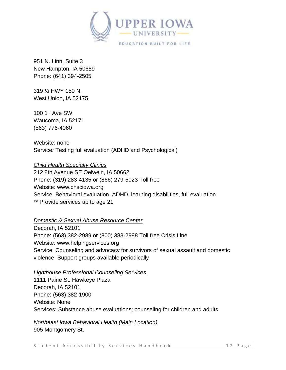

951 N. Linn, Suite 3 New Hampton, IA 50659 Phone: (641) 394-2505

319 ½ HWY 150 N. West Union, IA 52175

100 1st Ave SW Waucoma, IA 52171 (563) 776-4060

Website: none Service*:* Testing full evaluation (ADHD and Psychological)

## *Child Health Specialty Clinics*

212 8th Avenue SE Oelwein, IA 50662 Phone: (319) 283-4135 or (866) 279-5023 Toll free Website: [www.chsciowa.org](http://www.chsciowa.org/) Service: Behavioral evaluation, ADHD, learning disabilities, full evaluation \*\* Provide services up to age 21

## *Domestic & Sexual Abuse Resource Center*

Decorah, IA 52101 Phone: (563) 382-2989 or (800) 383-2988 Toll free Crisis Line Website: [www.helpingservices.org](http://www.helpingservices.org/) Service: Counseling and advocacy for survivors of sexual assault and domestic violence; Support groups available periodically

#### *Lighthouse Professional Counseling Services*

1111 Paine St. Hawkeye Plaza Decorah, IA 52101 Phone: (563) 382-1900 Website: None Services: Substance abuse evaluations; counseling for children and adults

# *Northeast Iowa Behavioral Health (Main Location)*

905 Montgomery St.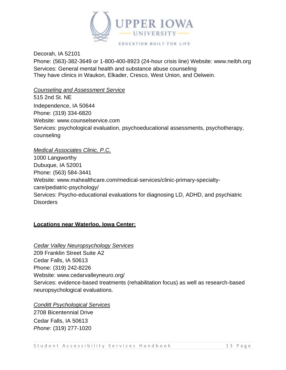

Decorah, IA 52101 Phone: (563)-382-3649 or 1-800-400-8923 (24-hour crisis line) Website: [www.neibh.org](http://www.neibh.org/) Services: General mental health and substance abuse counseling They have clinics in Waukon, Elkader, Cresco, West Union, and Oelwein.

*Counseling and Assessment Service*

515 2nd St. NE Independence, IA 50644 Phone: (319) 334-6820 Website: [www.counselservice.com](http://www.counselservice.com/) Services: psychological evaluation, psychoeducational assessments, psychotherapy, counseling

## *Medical Associates Clinic, P.C.*

1000 Langworthy Dubuque, IA 52001 Phone: (563) 584-3441 Website: [www.mahealthcare.com/medical-services/clinic-primary-specialty](http://www.mahealthcare.com/medical-services/clinic-primary-specialty-)care/pediatric-psychology/ Services: Psycho-educational evaluations for diagnosing LD, ADHD, and psychiatric **Disorders** 

## **Locations near Waterloo, Iowa Center:**

*Cedar Valley Neuropsychology Services* 209 Franklin Street Suite A2 Cedar Falls, IA 50613 Phone: (319) 242-8226 Website: [www.cedarvalleyneuro.org/](http://www.cedarvalleyneuro.org/) Services: evidence-based treatments (rehabilitation focus) as well as research-based neuropsychological evaluations.

#### *Conditt Psychological Services*

2708 Bicentennial Drive Cedar Falls, IA 50613 *Phone*: (319) 277-1020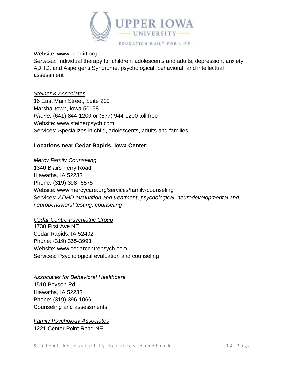

#### Website: [www.conditt.org](http://www.conditt.org/)

*Services*: Individual therapy for children, adolescents and adults, depression, anxiety, ADHD, and Asperger's Syndrome, psychological, behavioral, and intellectual assessment

#### *Steiner & Associates*

16 East Main Street, Suite 200 Marshalltown, Iowa 50158 *Phone:* (641) 844-1200 or (877) 944-1200 toll free Website: [www.steinerpsych.com](http://www.steinerpsych.com/) Services: Specializes in child, adolescents, adults and families

## **Locations near Cedar Rapids, Iowa Center:**

## *Mercy Family Counseling*

1340 Blairs Ferry Road Hiawatha, IA 52233 Phone: (319) 398- 6575 Website: [www.mercycare.org/services/family-counseling](http://www.mercycare.org/services/family-counseling) Services: *ADHD evaluation and treatment*, *psychological, neurodevelopmental and neurobehavioral testing, counseling*

#### *Cedar Centre Psychiatric Group*

1730 First Ave NE Cedar Rapids, IA 52402 Phone: (319) 365-3993 Website: [www.cedarcentrepsych.com](http://www.cedarcentrepsych.com/) Services: Psychological evaluation and counseling

## *Associates for Behavioral Healthcare* 1510 Boyson Rd. Hiawatha, IA 52233 Phone: (319) 396-1066 Counseling and assessments

*Family Psychology Associates* 1221 Center Point Road NE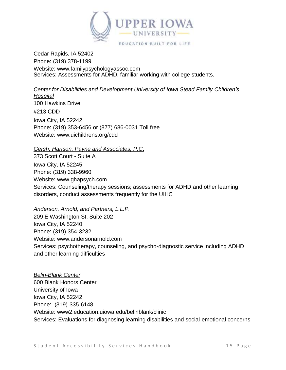

Cedar Rapids, IA 52402 Phone: (319) 378-1199 Website: [www.familypsychologyassoc.com](http://www.familypsychologyassoc.com/) Services: Assessments for ADHD, familiar working with college students.

*Center for Disabilities and Development University of Iowa Stead Family Children's* 

*Hospital* 100 Hawkins Drive #213 CDD Iowa City, IA 52242 Phone: (319) 353-6456 or (877) 686-0031 Toll free Website: [www.uichildrens.org/cdd](http://www.uichildrens.org/cdd)

*Gersh, Hartson, Payne and Associates, P.C*.

373 Scott Court - Suite A Iowa City, IA 52245 Phone: (319) 338-9960 Website: [www.ghapsych.com](http://www.ghapsych.com/) Services: Counseling/therapy sessions; assessments for ADHD and other learning disorders, conduct assessments frequently for the UIHC

*Anderson, Arnold, and Partners, L.L.P.*

209 E Washington St, Suite 202 Iowa City, IA 52240 Phone: (319) 354-3232 Website: [www.andersonarnold.com](http://www.andersonarnold.com/) Services: psychotherapy, counseling, and psycho-diagnostic service including ADHD and other learning difficulties

*Belin-Blank Center* 600 Blank Honors Center University of Iowa Iowa City, IA 52242 Phone: (319)-335-6148 Website: www2.education.uiowa.edu/belinblank/clinic Services: Evaluations for diagnosing learning disabilities and social-emotional concerns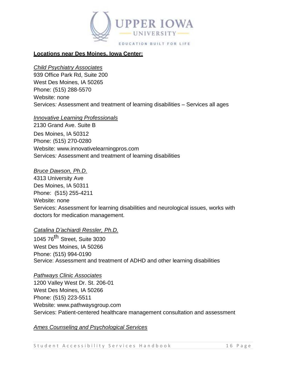

## **Locations near Des Moines, Iowa Center:**

#### *Child Psychiatry Associates*

939 Office Park Rd, Suite 200 West Des Moines, IA 50265 Phone: (515) 288-5570 Website: none Services*:* Assessment and treatment of learning disabilities – Services all ages

#### *Innovative Learning Professionals*

2130 Grand Ave. Suite B Des Moines, IA 50312 Phone: (515) 270-0280 Website: [www.innovativelearningpros.com](http://www.innovativelearningpros.com/) Services*:* Assessment and treatment of learning disabilities

#### *Bruce Dawson, Ph.D.*

4313 University Ave Des Moines, IA 50311 Phone: (515) 255-4211 Website: none Services: Assessment for learning disabilities and neurological issues, works with doctors for medication management.

## *Catalina D'achiardi Ressler, Ph.D.*

1045 76<sup>th</sup> Street, Suite 3030 West Des Moines, IA 50266 Phone: (515) 994-0190 Service: Assessment and treatment of ADHD and other learning disabilities

#### *Pathways Clinic Associates*

1200 Valley West Dr. St. 206-01 West Des Moines, IA 50266 Phone: (515) 223-5511 Website: [www.pathwaysgroup.com](http://www.pathwaysgroup.com/) Services: Patient-centered healthcare management consultation and assessment

#### *Ames Counseling and Psychological Services*

Student Accessibility Services Handbook 16 Page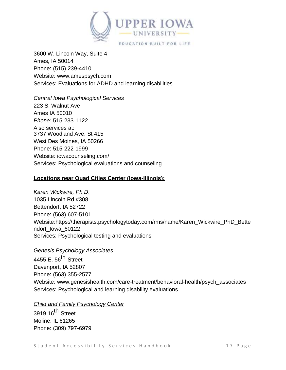

3600 W. Lincoln Way, Suite 4 Ames, IA 50014 Phone: (515) 239-4410 Website: [www.amespsych.com](http://www.amespsych.com/) Services: Evaluations for ADHD and learning disabilities

## *Central Iowa Psychological Services*

223 S. Walnut Ave Ames IA 50010 *Phone:* 515-233-1122 Also services at: 3737 Woodland Ave, St 415 West Des Moines, IA 50266 Phone: 515-222-1999 Website: iowacounseling.com/ Services: Psychological evaluations and counseling

## **Locations near Quad Cities Center (Iowa-Illinois):**

*Karen Wickwire, Ph.D*. 1035 Lincoln Rd #308 Bettendorf, IA 52722 Phone: (563) 607-5101 Website:https://therapists.psychologytoday.com/rms/name/Karen\_Wickwire\_PhD\_Bette ndorf\_Iowa\_60122 Services: Psychological testing and evaluations

#### *Genesis Psychology Associates*

4455 E. 56<sup>th</sup> Street Davenport, IA 52807 Phone: (563) 355-2577 Website: [www.genesishealth.com/care-treatment/behavioral-health/psych\\_associates](http://www.genesishealth.com/care-treatment/behavioral-health/psych_associates) Services: Psychological and learning disability evaluations

#### *Child and Family Psychology Center*

3919 16<sup>th</sup> Street Moline, IL 61265 Phone: (309) 797-6979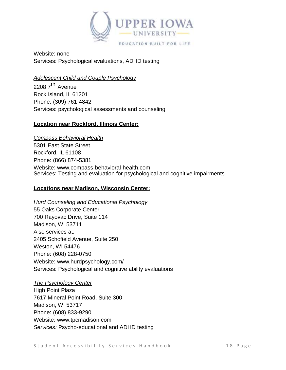

Website: none Services: Psychological evaluations, ADHD testing

## *Adolescent Child and Couple Psychology*

2208 7<sup>th</sup> Avenue Rock Island, IL 61201 Phone: (309) 761-4842 Services: psychological assessments and counseling

## **Location near Rockford, Illinois Center:**

*Compass Behavioral Health* 5301 East State Street Rockford, IL 61108 Phone: (866) 874-5381 Website: [www.compass-behavioral-health.com](http://www.compass-behavioral-health.com/) Services: Testing and evaluation for psychological and cognitive impairments

## **Locations near Madison, Wisconsin Center:**

*Hurd Counseling and Educational Psychology* 55 Oaks Corporate Center 700 Rayovac Drive, Suite 114 Madison, WI 53711 Also services at: 2405 Schofield Avenue, Suite 250 Weston, WI 54476 Phone: (608) 228-0750 Website: [www.hurdpsychology.com/](http://www.hurdpsychology.com/) Services: Psychological and cognitive ability evaluations

#### *The Psychology Center*

High Point Plaza 7617 Mineral Point Road, Suite 300 Madison, WI 53717 Phone: (608) 833-9290 Website: [www.tpcmadison.com](http://www.tpcmadison.com/) *Services:* Psycho-educational and ADHD testing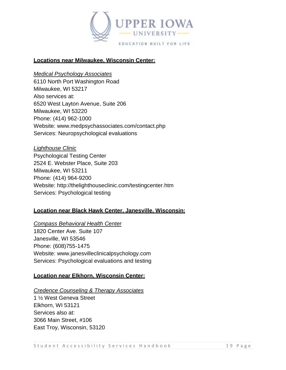

## **Locations near Milwaukee, Wisconsin Center:**

#### *Medical Psychology Associates*

6110 North Port Washington Road Milwaukee, WI 53217 Also services at: 6520 West Layton Avenue, Suite 206 Milwaukee, WI 53220 Phone: (414) 962-1000 Website: [www.medpsychassociates.com/contact.php](http://www.medpsychassociates.com/contact.php) Services: Neuropsychological evaluations

*Lighthouse Clinic* Psychological Testing Center 2524 E. Webster Place, Suite 203 Milwaukee, WI 53211 Phone: (414) 964-9200 Website: <http://thelighthouseclinic.com/testingcenter.htm> Services: Psychological testing

## **Location near Black Hawk Center, Janesville, Wisconsin:**

*Compass Behavioral Health Center* 1820 Center Ave. Suite 107 Janesville, WI 53546 Phone: (608)755-1475 Website: [www.janesvilleclinicalpsychology.com](http://www.janesvilleclinicalpsychology.com/) Services: Psychological evaluations and testing

## **Location near Elkhorn, Wisconsin Center:**

#### *Credence Counseling & Therapy Associates*

1 ½ West Geneva Street Elkhorn, WI 53121 Services also at: 3066 Main Street, #106 East Troy, Wisconsin, 53120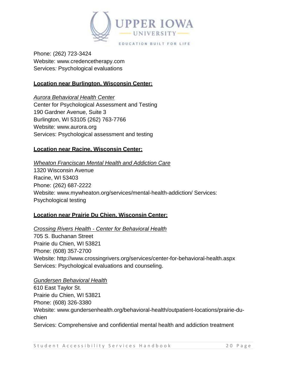

Phone: (262) 723-3424 Website: [www.credencetherapy.com](http://www.credencetherapy.com/) Services*:* Psychological evaluations

## **Location near Burlington, Wisconsin Center:**

*Aurora Behavioral Health Center* Center for Psychological Assessment and Testing 190 Gardner Avenue, Suite 3 Burlington, WI 53105 (262) 763-7766 Website: [www.aurora.org](http://www.aurora.org/) Services: Psychological assessment and testing

## **Location near Racine, Wisconsin Center:**

## *Wheaton Franciscan Mental Health and Addiction Care* 1320 Wisconsin Avenue Racine, WI 53403 Phone: (262) 687-2222 Website: [www.mywheaton.org/services/mental-health-addiction/](http://www.mywheaton.org/services/mental-health-addiction/) Services: Psychological testing

## **Location near Prairie Du Chien, Wisconsin Center:**

#### *Crossing Rivers Health - Center for Behavioral Health*

705 S. Buchanan Street Prairie du Chien, WI 53821 Phone: (608) 357-2700 Website: <http://www.crossingrivers.org/services/center-for-behavioral-health.aspx> Services: Psychological evaluations and counseling.

#### *Gundersen Behavioral Health*

610 East Taylor St. Prairie du Chien, WI 53821 Phone: (608) 326-3380 Website: [www.gundersenhealth.org/behavioral-health/outpatient-locations/prairie-du](http://www.gundersenhealth.org/behavioral-health/outpatient-locations/prairie-du-chien)[chien](http://www.gundersenhealth.org/behavioral-health/outpatient-locations/prairie-du-chien) Services: Comprehensive and confidential mental health and addiction treatment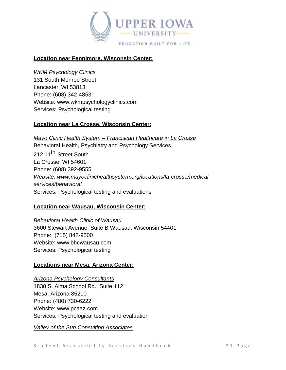

#### **Location near Fennimore, Wisconsin Center:**

#### *WKM Psychology Clinics*

131 South Monroe Street Lancaster, WI 53813 Phone: (608) 342-4853 Website: [www.wkmpsychologyclinics.com](http://www.wkmpsychologyclinics.com/) Services: Psychological testing

## **Location near La Crosse, Wisconsin Center:**

*Mayo Clinic Health System – Franciscan Healthcare in La Crosse* Behavioral Health, Psychiatry and Psychology Services 212 11<sup>th</sup> Street South La Crosse, WI 54601 Phone: (608) 392-9555 *Website: [www.mayoclinichealthsystem.org/locations/la-crosse/medical](http://www.mayoclinichealthsystem.org/locations/la-crosse/medical-)services/behavioral* Services: Psychological testing and evaluations

## **Location near Wausau, Wisconsin Center:**

*Behavioral Health Clinic of Wausau* 3600 Stewart Avenue, Suite B Wausau, Wisconsin 54401 Phone: (715) 842-9500 Website: [www.bhcwausau.com](http://www.bhcwausau.com/) Services: Psychological testing

#### **Locations near Mesa, Arizona Center:**

#### *Arizona Psychology Consultants*

1830 S. Alma School Rd., Suite 112 Mesa, Arizona 85210 Phone: (480) 730-6222 Website: [www.pcaaz.com](http://www.pcaaz.com/) Services: Psychological testing and evaluation

*Valley of the Sun Consulting Associates*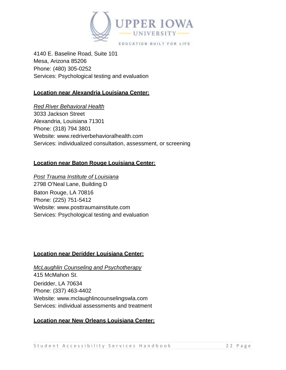

4140 E. Baseline Road, Suite 101 Mesa, Arizona 85206 Phone: (480) 305-0252 Services: Psychological testing and evaluation

## **Location near Alexandria Louisiana Center:**

## *Red River Behavioral Health*

3033 Jackson Street Alexandria, Louisiana 71301 Phone: (318) 794 3801 Website: [www.redriverbehavioralhealth.com](http://www.redriverbehavioralhealth.com/) Services: individualized consultation, assessment, or screening

## **Location near Baton Rouge Louisiana Center:**

*Post Trauma Institute of Louisiana* 2798 O'Neal Lane, Building D Baton Rouge, LA 70816 Phone: (225) 751-5412 Website: [www.posttraumainstitute.com](http://www.posttraumainstitute.com/) Services: Psychological testing and evaluation

## **Location near Deridder Louisiana Center:**

*McLaughlin Counseling and Psychotherapy* 415 McMahon St. Deridder, LA 70634 Phone: (337) 463-4402 Website: [www.mclaughlincounselingswla.com](http://www.mclaughlincounselingswla.com/) Services: individual assessments and treatment

#### **Location near New Orleans Louisiana Center:**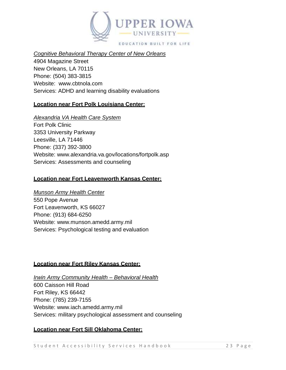

*Cognitive Behavioral Therapy Center of New Orleans*

4904 Magazine Street New Orleans, LA 70115 Phone: (504) 383-3815 Website: [www.cbtnola.com](http://www.cbtnola.com/) Services: ADHD and learning disability evaluations

## **Location near Fort Polk Louisiana Center:**

## *Alexandria VA Health Care System*

Fort Polk Clinic 3353 University Parkway Leesville, LA 71446 Phone: (337) 392-3800 Website: [www.alexandria.va.gov/locations/fortpolk.asp](http://www.alexandria.va.gov/locations/fortpolk.asp) Services: Assessments and counseling

## **Location near Fort Leavenworth Kansas Center:**

#### *Munson Army Health Center*

550 Pope Avenue Fort Leavenworth, KS 66027 Phone: (913) 684-6250 Website: [www.munson.amedd.army.mil](http://www.munson.amedd.army.mil/) Services: Psychological testing and evaluation

## **Location near Fort Riley Kansas Center:**

*Irwin Army Community Health – Behavioral Health* 600 Caisson Hill Road Fort Riley, KS 66442 Phone: (785) 239-7155 Website: [www.iach.amedd.army.mil](http://www.iach.amedd.army.mil/) Services: military psychological assessment and counseling

## **Location near Fort Sill Oklahoma Center:**

Student Accessibility Services Handbook 23 Page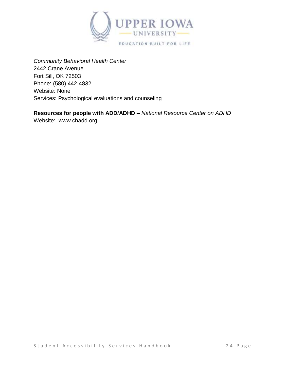

## *Community Behavioral Health Center*

2442 Crane Avenue Fort Sill, OK 72503 Phone: (580) 442-4832 Website: None Services: Psychological evaluations and counseling

## **Resources for people with ADD/ADHD –** *National Resource Center on ADHD*

Website: [www.chadd.org](http://www.chadd.org/)